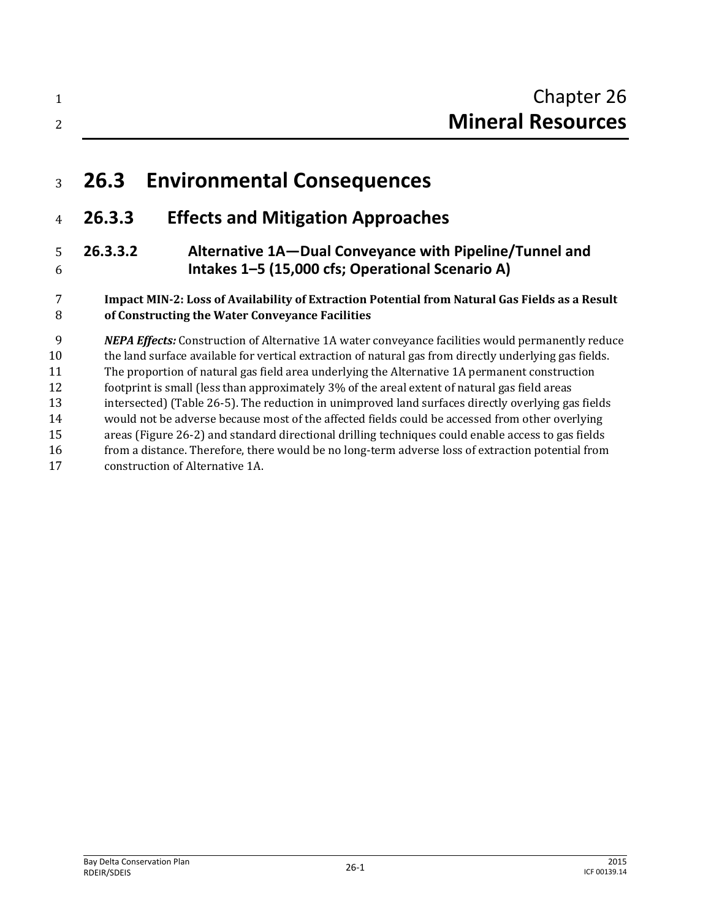# **26.3 Environmental Consequences**

# **26.3.3 Effects and Mitigation Approaches**

# **26.3.3.2 Alternative 1A—Dual Conveyance with Pipeline/Tunnel and Intakes 1–5 (15,000 cfs; Operational Scenario A)**

# **Impact MIN-2: Loss of Availability of Extraction Potential from Natural Gas Fields as a Result of Constructing the Water Conveyance Facilities**

 *NEPA Effects:* Construction of Alternative 1A water conveyance facilities would permanently reduce 10 the land surface available for vertical extraction of natural gas from directly underlying gas fields. The proportion of natural gas field area underlying the Alternative 1A permanent construction footprint is small (less than approximately 3% of the areal extent of natural gas field areas intersected) (Table 26-5). The reduction in unimproved land surfaces directly overlying gas fields would not be adverse because most of the affected fields could be accessed from other overlying areas (Figure 26-2) and standard directional drilling techniques could enable access to gas fields from a distance. Therefore, there would be no long-term adverse loss of extraction potential from construction of Alternative 1A.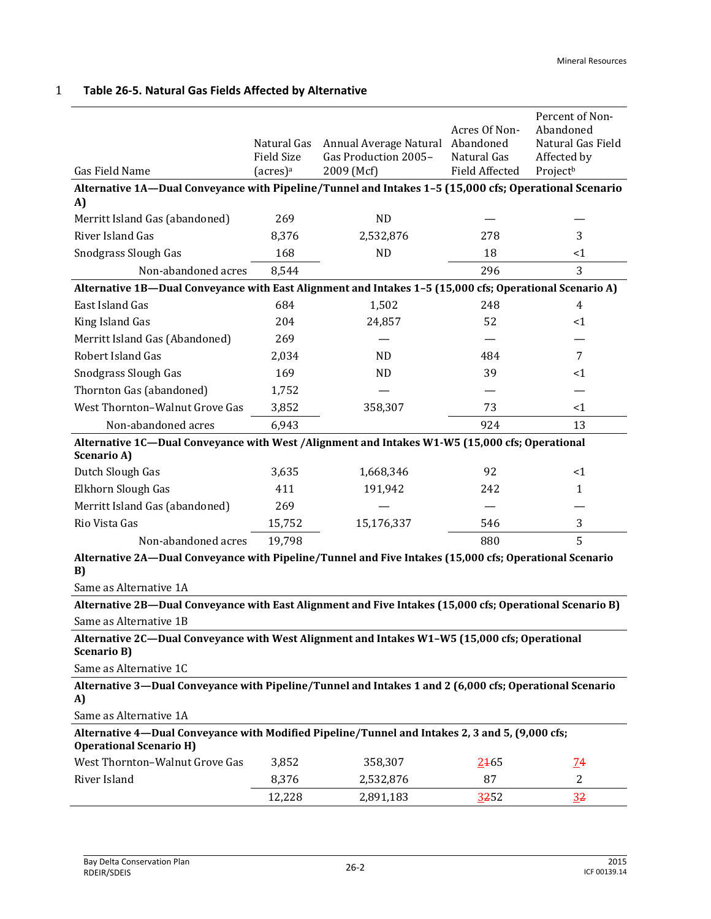| <b>Gas Field Name</b>                                                                                                             | Natural Gas<br><b>Field Size</b> | Annual Average Natural<br>Gas Production 2005- | Acres Of Non-<br>Abandoned<br>Natural Gas<br><b>Field Affected</b> | Percent of Non-<br>Abandoned<br>Natural Gas Field<br>Affected by |  |  |  |
|-----------------------------------------------------------------------------------------------------------------------------------|----------------------------------|------------------------------------------------|--------------------------------------------------------------------|------------------------------------------------------------------|--|--|--|
| (acres) <sup>a</sup><br>2009 (Mcf)<br>Projectb                                                                                    |                                  |                                                |                                                                    |                                                                  |  |  |  |
| Alternative 1A-Dual Conveyance with Pipeline/Tunnel and Intakes 1-5 (15,000 cfs; Operational Scenario<br>A)                       |                                  |                                                |                                                                    |                                                                  |  |  |  |
| Merritt Island Gas (abandoned)                                                                                                    | 269                              | ND                                             |                                                                    |                                                                  |  |  |  |
| River Island Gas                                                                                                                  | 8,376                            | 2,532,876                                      | 278                                                                | 3                                                                |  |  |  |
| Snodgrass Slough Gas                                                                                                              | 168                              | <b>ND</b>                                      | 18                                                                 | $\leq$ 1                                                         |  |  |  |
| Non-abandoned acres                                                                                                               | 8,544                            |                                                | 296                                                                | 3                                                                |  |  |  |
| Alternative 1B-Dual Conveyance with East Alignment and Intakes 1-5 (15,000 cfs; Operational Scenario A)                           |                                  |                                                |                                                                    |                                                                  |  |  |  |
| East Island Gas                                                                                                                   | 684                              | 1,502                                          | 248                                                                | 4                                                                |  |  |  |
| King Island Gas                                                                                                                   | 204                              | 24,857                                         | 52                                                                 | <1                                                               |  |  |  |
| Merritt Island Gas (Abandoned)                                                                                                    | 269                              |                                                |                                                                    |                                                                  |  |  |  |
| Robert Island Gas                                                                                                                 | 2,034                            | <b>ND</b>                                      | 484                                                                | 7                                                                |  |  |  |
| Snodgrass Slough Gas                                                                                                              | 169                              | <b>ND</b>                                      | 39                                                                 | <1                                                               |  |  |  |
| Thornton Gas (abandoned)                                                                                                          | 1,752                            |                                                |                                                                    |                                                                  |  |  |  |
| West Thornton-Walnut Grove Gas                                                                                                    | 3,852                            | 358,307                                        | 73                                                                 | $<$ 1                                                            |  |  |  |
| Non-abandoned acres                                                                                                               | 6,943                            |                                                | 924                                                                | 13                                                               |  |  |  |
| Alternative 1C-Dual Conveyance with West / Alignment and Intakes W1-W5 (15,000 cfs; Operational<br><b>Scenario A)</b>             |                                  |                                                |                                                                    |                                                                  |  |  |  |
| Dutch Slough Gas                                                                                                                  | 3,635                            | 1,668,346                                      | 92                                                                 | <1                                                               |  |  |  |
| Elkhorn Slough Gas                                                                                                                | 411                              | 191,942                                        | 242                                                                | 1                                                                |  |  |  |
| Merritt Island Gas (abandoned)                                                                                                    | 269                              |                                                |                                                                    |                                                                  |  |  |  |
| Rio Vista Gas                                                                                                                     | 15,752                           | 15,176,337                                     | 546                                                                | 3                                                                |  |  |  |
| Non-abandoned acres                                                                                                               | 19,798                           |                                                | 880                                                                | 5                                                                |  |  |  |
| Alternative 2A-Dual Conveyance with Pipeline/Tunnel and Five Intakes (15,000 cfs; Operational Scenario<br>B)                      |                                  |                                                |                                                                    |                                                                  |  |  |  |
| Same as Alternative 1A                                                                                                            |                                  |                                                |                                                                    |                                                                  |  |  |  |
| Alternative 2B-Dual Conveyance with East Alignment and Five Intakes (15,000 cfs; Operational Scenario B)                          |                                  |                                                |                                                                    |                                                                  |  |  |  |
| Same as Alternative 1B                                                                                                            |                                  |                                                |                                                                    |                                                                  |  |  |  |
| Alternative 2C-Dual Conveyance with West Alignment and Intakes W1-W5 (15,000 cfs; Operational<br><b>Scenario B)</b>               |                                  |                                                |                                                                    |                                                                  |  |  |  |
| Same as Alternative 1C                                                                                                            |                                  |                                                |                                                                    |                                                                  |  |  |  |
| Alternative 3-Dual Conveyance with Pipeline/Tunnel and Intakes 1 and 2 (6,000 cfs; Operational Scenario<br>A)                     |                                  |                                                |                                                                    |                                                                  |  |  |  |
| Same as Alternative 1A                                                                                                            |                                  |                                                |                                                                    |                                                                  |  |  |  |
| Alternative 4—Dual Conveyance with Modified Pipeline/Tunnel and Intakes 2, 3 and 5, (9,000 cfs;<br><b>Operational Scenario H)</b> |                                  |                                                |                                                                    |                                                                  |  |  |  |
| West Thornton-Walnut Grove Gas                                                                                                    | 3,852                            | 358,307                                        | 2465                                                               | <u>74</u>                                                        |  |  |  |
| River Island                                                                                                                      | 8,376                            | 2,532,876                                      | 87                                                                 | $\overline{2}$                                                   |  |  |  |
|                                                                                                                                   | 12,228                           | 2,891,183                                      | 3252                                                               | 32                                                               |  |  |  |

# 1 **Table 26-5. Natural Gas Fields Affected by Alternative**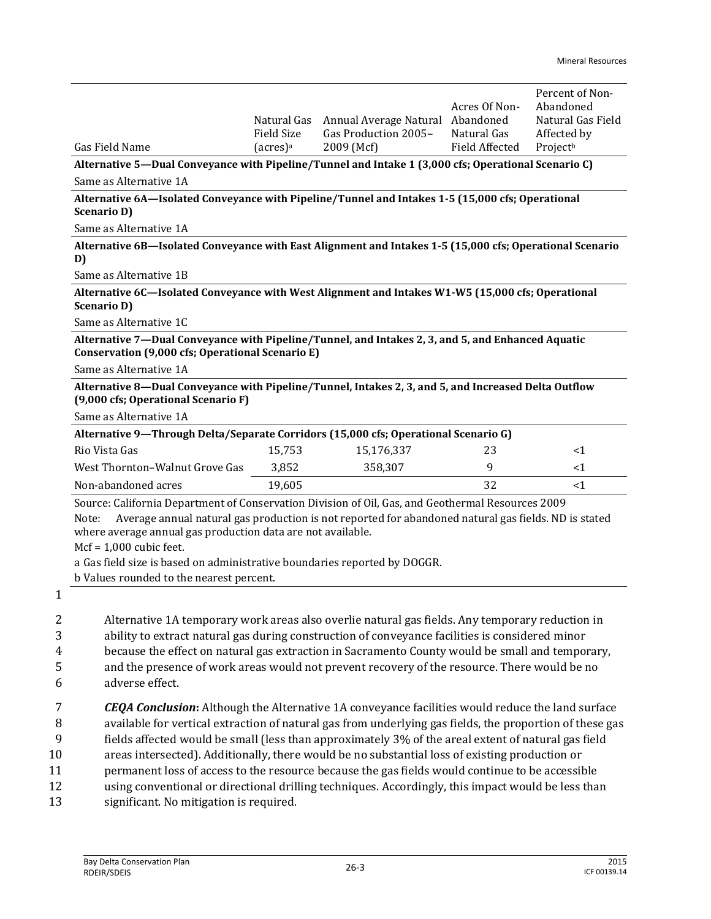|                                                                                                                                                                                                                                                                                                                                                                                             | Natural Gas          | Annual Average Natural | Acres Of Non-<br>Abandoned | Percent of Non-<br>Abandoned<br>Natural Gas Field |  |  |
|---------------------------------------------------------------------------------------------------------------------------------------------------------------------------------------------------------------------------------------------------------------------------------------------------------------------------------------------------------------------------------------------|----------------------|------------------------|----------------------------|---------------------------------------------------|--|--|
|                                                                                                                                                                                                                                                                                                                                                                                             | <b>Field Size</b>    | Gas Production 2005-   | Natural Gas                | Affected by                                       |  |  |
| Gas Field Name                                                                                                                                                                                                                                                                                                                                                                              | (acres) <sup>a</sup> | 2009 (Mcf)             | <b>Field Affected</b>      | Projectb                                          |  |  |
| Alternative 5—Dual Conveyance with Pipeline/Tunnel and Intake 1 (3,000 cfs; Operational Scenario C)                                                                                                                                                                                                                                                                                         |                      |                        |                            |                                                   |  |  |
| Same as Alternative 1A                                                                                                                                                                                                                                                                                                                                                                      |                      |                        |                            |                                                   |  |  |
| Alternative 6A—Isolated Conveyance with Pipeline/Tunnel and Intakes 1-5 (15,000 cfs; Operational<br><b>Scenario D)</b>                                                                                                                                                                                                                                                                      |                      |                        |                            |                                                   |  |  |
| Same as Alternative 1A                                                                                                                                                                                                                                                                                                                                                                      |                      |                        |                            |                                                   |  |  |
| Alternative 6B—Isolated Conveyance with East Alignment and Intakes 1-5 (15,000 cfs; Operational Scenario<br>D)                                                                                                                                                                                                                                                                              |                      |                        |                            |                                                   |  |  |
| Same as Alternative 1B                                                                                                                                                                                                                                                                                                                                                                      |                      |                        |                            |                                                   |  |  |
| Alternative 6C-Isolated Conveyance with West Alignment and Intakes W1-W5 (15,000 cfs; Operational<br><b>Scenario D)</b>                                                                                                                                                                                                                                                                     |                      |                        |                            |                                                   |  |  |
| Same as Alternative 1C                                                                                                                                                                                                                                                                                                                                                                      |                      |                        |                            |                                                   |  |  |
| Alternative 7—Dual Conveyance with Pipeline/Tunnel, and Intakes 2, 3, and 5, and Enhanced Aquatic<br>Conservation (9,000 cfs; Operational Scenario E)                                                                                                                                                                                                                                       |                      |                        |                            |                                                   |  |  |
| Same as Alternative 1A                                                                                                                                                                                                                                                                                                                                                                      |                      |                        |                            |                                                   |  |  |
| Alternative 8-Dual Conveyance with Pipeline/Tunnel, Intakes 2, 3, and 5, and Increased Delta Outflow<br>(9,000 cfs; Operational Scenario F)                                                                                                                                                                                                                                                 |                      |                        |                            |                                                   |  |  |
| Same as Alternative 1A                                                                                                                                                                                                                                                                                                                                                                      |                      |                        |                            |                                                   |  |  |
| Alternative 9—Through Delta/Separate Corridors (15,000 cfs; Operational Scenario G)                                                                                                                                                                                                                                                                                                         |                      |                        |                            |                                                   |  |  |
| Rio Vista Gas                                                                                                                                                                                                                                                                                                                                                                               | 15,753               | 15,176,337             | 23                         | $<$ 1                                             |  |  |
| West Thornton-Walnut Grove Gas                                                                                                                                                                                                                                                                                                                                                              | 3,852                | 358,307                | 9                          | <1                                                |  |  |
| Non-abandoned acres                                                                                                                                                                                                                                                                                                                                                                         | 19,605               |                        | 32                         | $<$ 1                                             |  |  |
| Source: California Department of Conservation Division of Oil, Gas, and Geothermal Resources 2009<br>Average annual natural gas production is not reported for abandoned natural gas fields. ND is stated<br>Note:<br>where average annual gas production data are not available.<br>$Mcf = 1,000$ cubic feet.<br>a Gas field size is based on administrative boundaries reported by DOGGR. |                      |                        |                            |                                                   |  |  |
| b Values rounded to the nearest percent.                                                                                                                                                                                                                                                                                                                                                    |                      |                        |                            |                                                   |  |  |
|                                                                                                                                                                                                                                                                                                                                                                                             |                      |                        |                            |                                                   |  |  |

1

 Alternative 1A temporary work areas also overlie natural gas fields. Any temporary reduction in ability to extract natural gas during construction of conveyance facilities is considered minor because the effect on natural gas extraction in Sacramento County would be small and temporary, and the presence of work areas would not prevent recovery of the resource. There would be no adverse effect.

 *CEQA Conclusion***:** Although the Alternative 1A conveyance facilities would reduce the land surface available for vertical extraction of natural gas from underlying gas fields, the proportion of these gas fields affected would be small (less than approximately 3% of the areal extent of natural gas field areas intersected). Additionally, there would be no substantial loss of existing production or permanent loss of access to the resource because the gas fields would continue to be accessible using conventional or directional drilling techniques. Accordingly, this impact would be less than significant. No mitigation is required.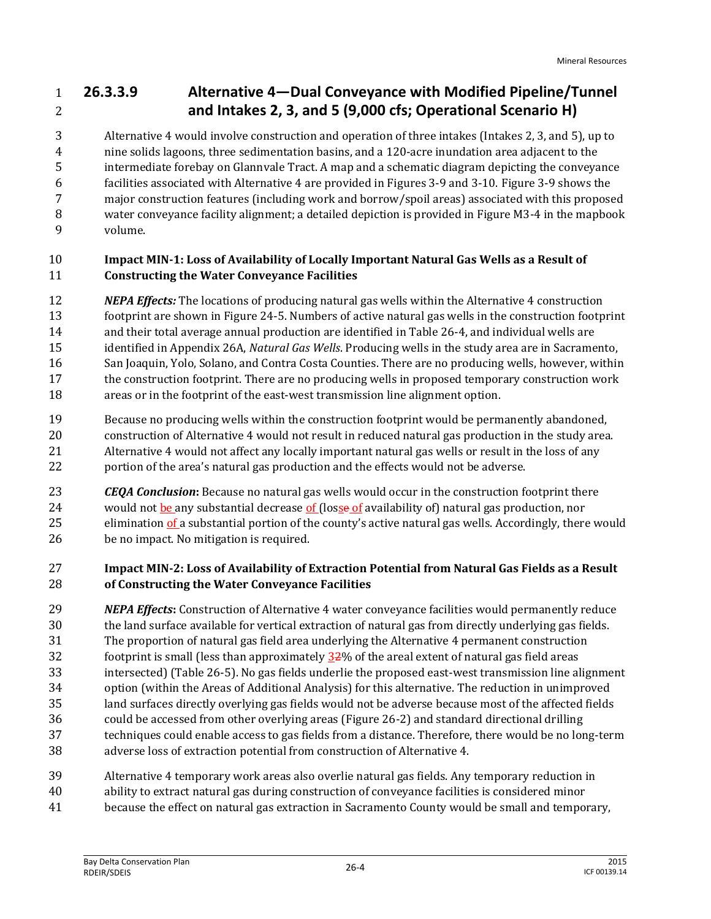# **26.3.3.9 Alternative 4—Dual Conveyance with Modified Pipeline/Tunnel and Intakes 2, 3, and 5 (9,000 cfs; Operational Scenario H)**

 Alternative 4 would involve construction and operation of three intakes (Intakes 2, 3, and 5), up to nine solids lagoons, three sedimentation basins, and a 120-acre inundation area adjacent to the intermediate forebay on Glannvale Tract. A map and a schematic diagram depicting the conveyance facilities associated with Alternative 4 are provided in Figures 3-9 and 3-10. Figure 3-9 shows the major construction features (including work and borrow/spoil areas) associated with this proposed water conveyance facility alignment; a detailed depiction is provided in Figure M3-4 in the mapbook volume.

# **Impact MIN-1: Loss of Availability of Locally Important Natural Gas Wells as a Result of Constructing the Water Conveyance Facilities**

- *NEPA Effects:* The locations of producing natural gas wells within the Alternative 4 construction
- footprint are shown in Figure 24-5. Numbers of active natural gas wells in the construction footprint
- and their total average annual production are identified in Table 26-4, and individual wells are
- identified in Appendix 26A, *Natural Gas Wells*. Producing wells in the study area are in Sacramento,
- San Joaquin, Yolo, Solano, and Contra Costa Counties. There are no producing wells, however, within
- the construction footprint. There are no producing wells in proposed temporary construction work areas or in the footprint of the east-west transmission line alignment option.
- Because no producing wells within the construction footprint would be permanently abandoned,
- construction of Alternative 4 would not result in reduced natural gas production in the study area.
- Alternative 4 would not affect any locally important natural gas wells or result in the loss of any portion of the area's natural gas production and the effects would not be adverse.
- *CEQA Conclusion***:** Because no natural gas wells would occur in the construction footprint there 24 would not be any substantial decrease of (losse of availability of) natural gas production, nor 25 elimination of a substantial portion of the county's active natural gas wells. Accordingly, there would be no impact. No mitigation is required.

# **Impact MIN-2: Loss of Availability of Extraction Potential from Natural Gas Fields as a Result of Constructing the Water Conveyance Facilities**

- *NEPA Effects***:** Construction of Alternative 4 water conveyance facilities would permanently reduce the land surface available for vertical extraction of natural gas from directly underlying gas fields. The proportion of natural gas field area underlying the Alternative 4 permanent construction 32 footprint is small (less than approximately  $32\%$  of the areal extent of natural gas field areas intersected) (Table 26-5). No gas fields underlie the proposed east-west transmission line alignment option (within the Areas of Additional Analysis) for this alternative. The reduction in unimproved land surfaces directly overlying gas fields would not be adverse because most of the affected fields could be accessed from other overlying areas (Figure 26-2) and standard directional drilling techniques could enable access to gas fields from a distance. Therefore, there would be no long-term adverse loss of extraction potential from construction of Alternative 4.
- Alternative 4 temporary work areas also overlie natural gas fields. Any temporary reduction in
- ability to extract natural gas during construction of conveyance facilities is considered minor
- because the effect on natural gas extraction in Sacramento County would be small and temporary,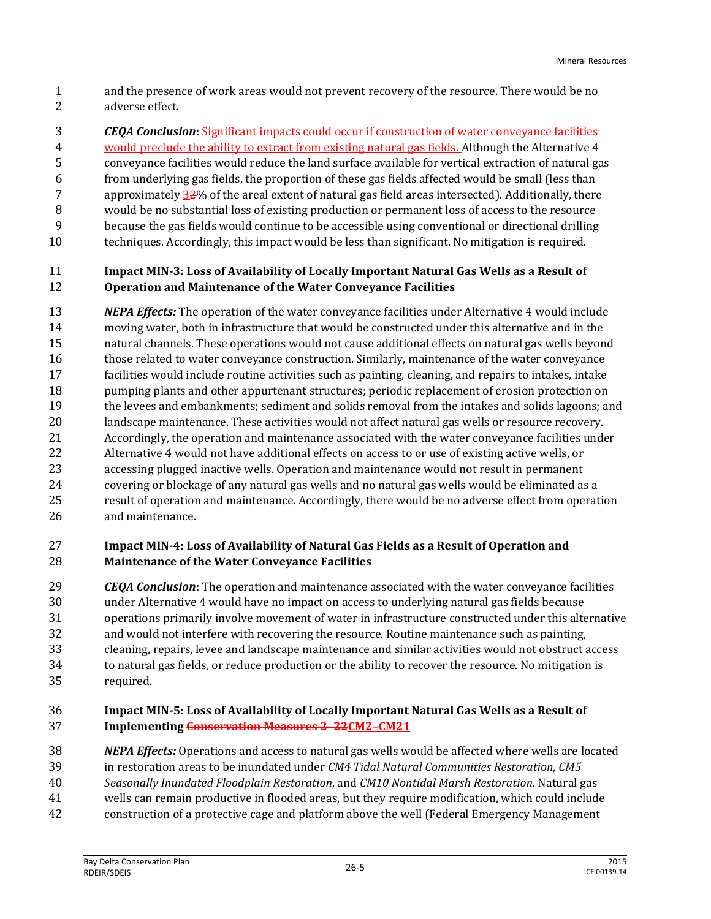- and the presence of work areas would not prevent recovery of the resource. There would be no adverse effect.
- *CEQA Conclusion***:** Significant impacts could occur if construction of water conveyance facilities
- would preclude the ability to extract from existing natural gas fields. Although the Alternative 4 conveyance facilities would reduce the land surface available for vertical extraction of natural gas from underlying gas fields, the proportion of these gas fields affected would be small (less than 7 approximately  $32\%$  of the areal extent of natural gas field areas intersected). Additionally, there would be no substantial loss of existing production or permanent loss of access to the resource because the gas fields would continue to be accessible using conventional or directional drilling
- techniques. Accordingly, this impact would be less than significant. No mitigation is required.

# **Impact MIN-3: Loss of Availability of Locally Important Natural Gas Wells as a Result of Operation and Maintenance of the Water Conveyance Facilities**

 *NEPA Effects:* The operation of the water conveyance facilities under Alternative 4 would include moving water, both in infrastructure that would be constructed under this alternative and in the natural channels. These operations would not cause additional effects on natural gas wells beyond those related to water conveyance construction. Similarly, maintenance of the water conveyance facilities would include routine activities such as painting, cleaning, and repairs to intakes, intake pumping plants and other appurtenant structures; periodic replacement of erosion protection on the levees and embankments; sediment and solids removal from the intakes and solids lagoons; and landscape maintenance. These activities would not affect natural gas wells or resource recovery. Accordingly, the operation and maintenance associated with the water conveyance facilities under Alternative 4 would not have additional effects on access to or use of existing active wells, or accessing plugged inactive wells. Operation and maintenance would not result in permanent covering or blockage of any natural gas wells and no natural gas wells would be eliminated as a result of operation and maintenance. Accordingly, there would be no adverse effect from operation and maintenance.

# **Impact MIN-4: Loss of Availability of Natural Gas Fields as a Result of Operation and Maintenance of the Water Conveyance Facilities**

 *CEQA Conclusion***:** The operation and maintenance associated with the water conveyance facilities under Alternative 4 would have no impact on access to underlying natural gas fields because operations primarily involve movement of water in infrastructure constructed under this alternative and would not interfere with recovering the resource. Routine maintenance such as painting, cleaning, repairs, levee and landscape maintenance and similar activities would not obstruct access to natural gas fields, or reduce production or the ability to recover the resource. No mitigation is required.

#### **Impact MIN-5: Loss of Availability of Locally Important Natural Gas Wells as a Result of Implementing Conservation Measures 2–22CM2–CM21**

- *NEPA Effects:* Operations and access to natural gas wells would be affected where wells are located
- in restoration areas to be inundated under *CM4 Tidal Natural Communities Restoration*, *CM5*
- *Seasonally Inundated Floodplain Restoration*, and *CM10 Nontidal Marsh Restoration*. Natural gas
- wells can remain productive in flooded areas, but they require modification, which could include
- construction of a protective cage and platform above the well (Federal Emergency Management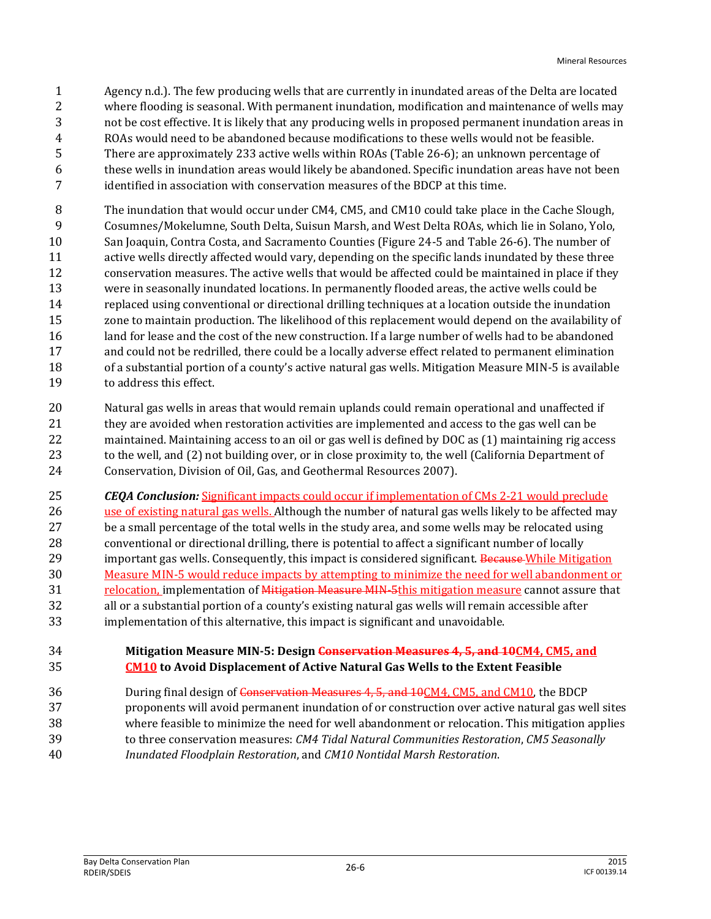- Agency n.d.). The few producing wells that are currently in inundated areas of the Delta are located where flooding is seasonal. With permanent inundation, modification and maintenance of wells may not be cost effective. It is likely that any producing wells in proposed permanent inundation areas in ROAs would need to be abandoned because modifications to these wells would not be feasible. There are approximately 233 active wells within ROAs (Table 26-6); an unknown percentage of these wells in inundation areas would likely be abandoned. Specific inundation areas have not been identified in association with conservation measures of the BDCP at this time.
- The inundation that would occur under CM4, CM5, and CM10 could take place in the Cache Slough, Cosumnes/Mokelumne, South Delta, Suisun Marsh, and West Delta ROAs, which lie in Solano, Yolo, San Joaquin, Contra Costa, and Sacramento Counties (Figure 24-5 and Table 26-6). The number of active wells directly affected would vary, depending on the specific lands inundated by these three conservation measures. The active wells that would be affected could be maintained in place if they were in seasonally inundated locations. In permanently flooded areas, the active wells could be replaced using conventional or directional drilling techniques at a location outside the inundation zone to maintain production. The likelihood of this replacement would depend on the availability of 16 land for lease and the cost of the new construction. If a large number of wells had to be abandoned and could not be redrilled, there could be a locally adverse effect related to permanent elimination of a substantial portion of a county's active natural gas wells. Mitigation Measure MIN-5 is available to address this effect.
- Natural gas wells in areas that would remain uplands could remain operational and unaffected if they are avoided when restoration activities are implemented and access to the gas well can be maintained. Maintaining access to an oil or gas well is defined by DOC as (1) maintaining rig access to the well, and (2) not building over, or in close proximity to, the well (California Department of Conservation, Division of Oil, Gas, and Geothermal Resources 2007).
- *CEQA Conclusion:* Significant impacts could occur if implementation of CMs 2-21 would preclude
- 26 use of existing natural gas wells. Although the number of natural gas wells likely to be affected may be a small percentage of the total wells in the study area, and some wells may be relocated using conventional or directional drilling, there is potential to affect a significant number of locally 29 important gas wells. Consequently, this impact is considered significant. Because While Mitigation Measure MIN-5 would reduce impacts by attempting to minimize the need for well abandonment or 31 relocation, implementation of *Mitigation Measure MIN-5this mitigation measure cannot assure that*  all or a substantial portion of a county's existing natural gas wells will remain accessible after implementation of this alternative, this impact is significant and unavoidable.
- **Mitigation Measure MIN-5: Design Conservation Measures 4, 5, and 10CM4, CM5, and CM10 to Avoid Displacement of Active Natural Gas Wells to the Extent Feasible**
- During final design of Conservation Measures 4, 5, and 10CM4, CM5, and CM10, the BDCP
- proponents will avoid permanent inundation of or construction over active natural gas well sites where feasible to minimize the need for well abandonment or relocation. This mitigation applies
- to three conservation measures: *CM4 Tidal Natural Communities Restoration*, *CM5 Seasonally Inundated Floodplain Restoration*, and *CM10 Nontidal Marsh Restoration*.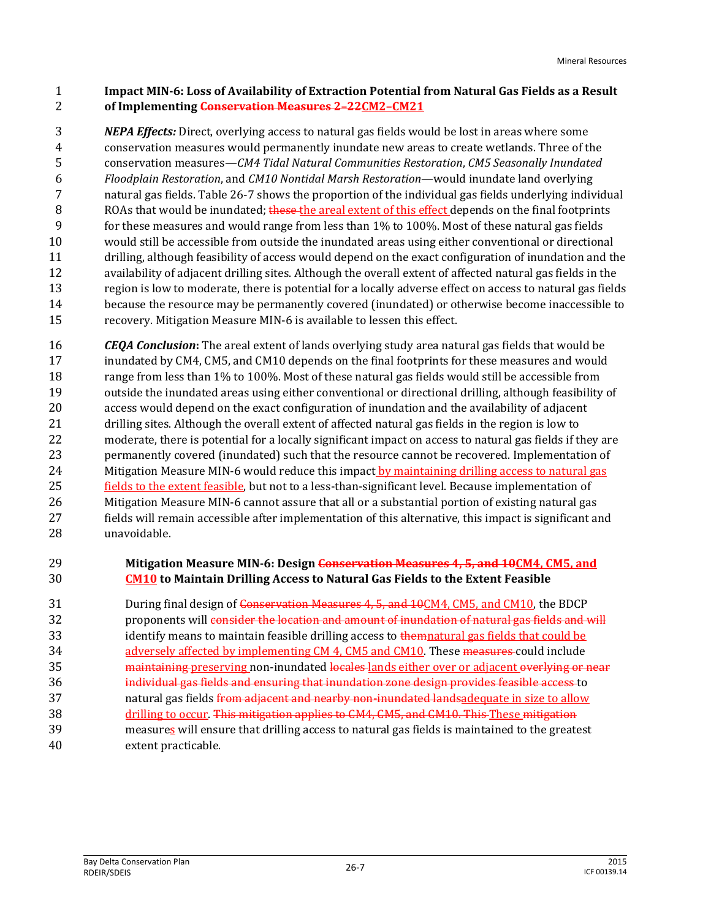#### **Impact MIN-6: Loss of Availability of Extraction Potential from Natural Gas Fields as a Result of Implementing Conservation Measures 2–22CM2–CM21**

 *NEPA Effects:* Direct, overlying access to natural gas fields would be lost in areas where some conservation measures would permanently inundate new areas to create wetlands. Three of the conservation measures—*CM4 Tidal Natural Communities Restoration*, *CM5 Seasonally Inundated Floodplain Restoration*, and *CM10 Nontidal Marsh Restoration*—would inundate land overlying natural gas fields. Table 26-7 shows the proportion of the individual gas fields underlying individual 8 ROAs that would be inundated; these the areal extent of this effect depends on the final footprints for these measures and would range from less than 1% to 100%. Most of these natural gas fields would still be accessible from outside the inundated areas using either conventional or directional drilling, although feasibility of access would depend on the exact configuration of inundation and the availability of adjacent drilling sites. Although the overall extent of affected natural gas fields in the region is low to moderate, there is potential for a locally adverse effect on access to natural gas fields because the resource may be permanently covered (inundated) or otherwise become inaccessible to recovery. Mitigation Measure MIN-6 is available to lessen this effect.

 *CEQA Conclusion***:** The areal extent of lands overlying study area natural gas fields that would be inundated by CM4, CM5, and CM10 depends on the final footprints for these measures and would 18 range from less than 1% to 100%. Most of these natural gas fields would still be accessible from outside the inundated areas using either conventional or directional drilling, although feasibility of access would depend on the exact configuration of inundation and the availability of adjacent drilling sites. Although the overall extent of affected natural gas fields in the region is low to moderate, there is potential for a locally significant impact on access to natural gas fields if they are permanently covered (inundated) such that the resource cannot be recovered. Implementation of 24 Mitigation Measure MIN-6 would reduce this impact by maintaining drilling access to natural gas fields to the extent feasible, but not to a less-than-significant level. Because implementation of Mitigation Measure MIN-6 cannot assure that all or a substantial portion of existing natural gas fields will remain accessible after implementation of this alternative, this impact is significant and unavoidable.

### **Mitigation Measure MIN-6: Design Conservation Measures 4, 5, and 10CM4, CM5, and CM10 to Maintain Drilling Access to Natural Gas Fields to the Extent Feasible**

31 During final design of Conservation Measures 4, 5, and 10CM4, CM5, and CM10, the BDCP 32 proponents will consider the location and amount of inundation of natural gas fields and will 33 identify means to maintain feasible drilling access to themnatural gas fields that could be 34 adversely affected by implementing CM 4, CM5 and CM10. These measures could include 35 maintaining preserving non-inundated locales lands either over or adjacent overlying or near individual gas fields and ensuring that inundation zone design provides feasible access to 37 hard a natural gas fields from a diacent and nearby non-inundated lands adequate in size to allow 38 drilling to occur. This mitigation applies to CM4, CM5, and CM10. This These mitigation measures will ensure that drilling access to natural gas fields is maintained to the greatest extent practicable.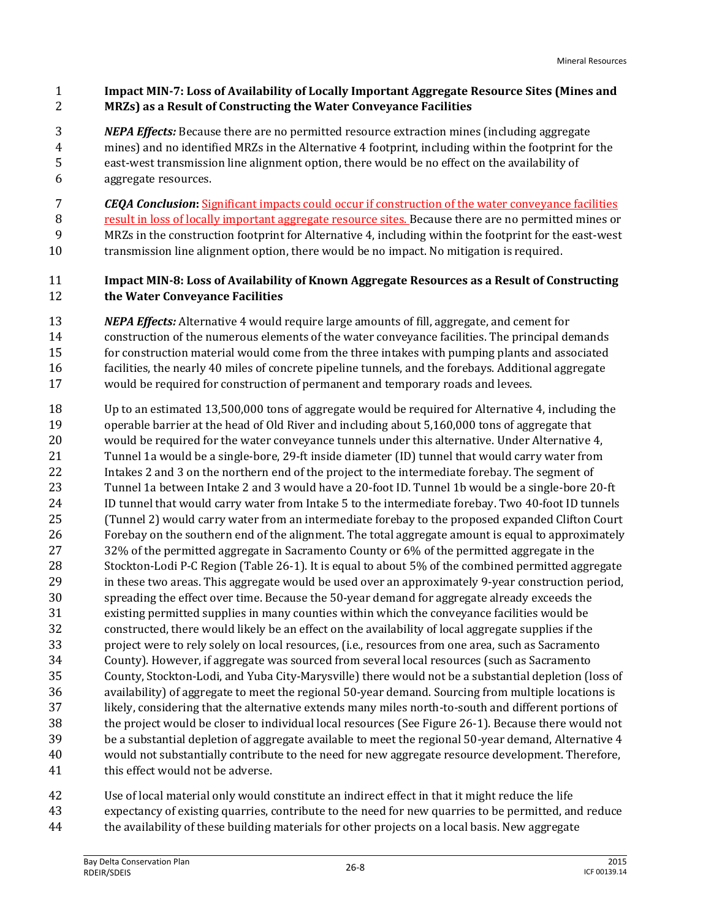## **Impact MIN-7: Loss of Availability of Locally Important Aggregate Resource Sites (Mines and MRZs) as a Result of Constructing the Water Conveyance Facilities**

- *NEPA Effects:* Because there are no permitted resource extraction mines (including aggregate mines) and no identified MRZs in the Alternative 4 footprint, including within the footprint for the east-west transmission line alignment option, there would be no effect on the availability of aggregate resources.
- *CEQA Conclusion***:** Significant impacts could occur if construction of the water conveyance facilities
- result in loss of locally important aggregate resource sites. Because there are no permitted mines or MRZs in the construction footprint for Alternative 4, including within the footprint for the east-west
- transmission line alignment option, there would be no impact. No mitigation is required.

# **Impact MIN-8: Loss of Availability of Known Aggregate Resources as a Result of Constructing the Water Conveyance Facilities**

- *NEPA Effects:* Alternative 4 would require large amounts of fill, aggregate, and cement for construction of the numerous elements of the water conveyance facilities. The principal demands for construction material would come from the three intakes with pumping plants and associated facilities, the nearly 40 miles of concrete pipeline tunnels, and the forebays. Additional aggregate would be required for construction of permanent and temporary roads and levees.
- Up to an estimated 13,500,000 tons of aggregate would be required for Alternative 4, including the operable barrier at the head of Old River and including about 5,160,000 tons of aggregate that would be required for the water conveyance tunnels under this alternative. Under Alternative 4, Tunnel 1a would be a single-bore, 29-ft inside diameter (ID) tunnel that would carry water from Intakes 2 and 3 on the northern end of the project to the intermediate forebay. The segment of Tunnel 1a between Intake 2 and 3 would have a 20-foot ID. Tunnel 1b would be a single-bore 20-ft ID tunnel that would carry water from Intake 5 to the intermediate forebay. Two 40-foot ID tunnels (Tunnel 2) would carry water from an intermediate forebay to the proposed expanded Clifton Court Forebay on the southern end of the alignment. The total aggregate amount is equal to approximately 27 32% of the permitted aggregate in Sacramento County or 6% of the permitted aggregate in the Stockton-Lodi P-C Region (Table 26-1). It is equal to about 5% of the combined permitted aggregate in these two areas. This aggregate would be used over an approximately 9-year construction period, spreading the effect over time. Because the 50-year demand for aggregate already exceeds the existing permitted supplies in many counties within which the conveyance facilities would be constructed, there would likely be an effect on the availability of local aggregate supplies if the project were to rely solely on local resources, (i.e., resources from one area, such as Sacramento County). However, if aggregate was sourced from several local resources (such as Sacramento County, Stockton-Lodi, and Yuba City-Marysville) there would not be a substantial depletion (loss of availability) of aggregate to meet the regional 50-year demand. Sourcing from multiple locations is likely, considering that the alternative extends many miles north-to-south and different portions of the project would be closer to individual local resources (See Figure 26-1). Because there would not be a substantial depletion of aggregate available to meet the regional 50-year demand, Alternative 4 would not substantially contribute to the need for new aggregate resource development. Therefore, 41 this effect would not be adverse.

 Use of local material only would constitute an indirect effect in that it might reduce the life expectancy of existing quarries, contribute to the need for new quarries to be permitted, and reduce the availability of these building materials for other projects on a local basis. New aggregate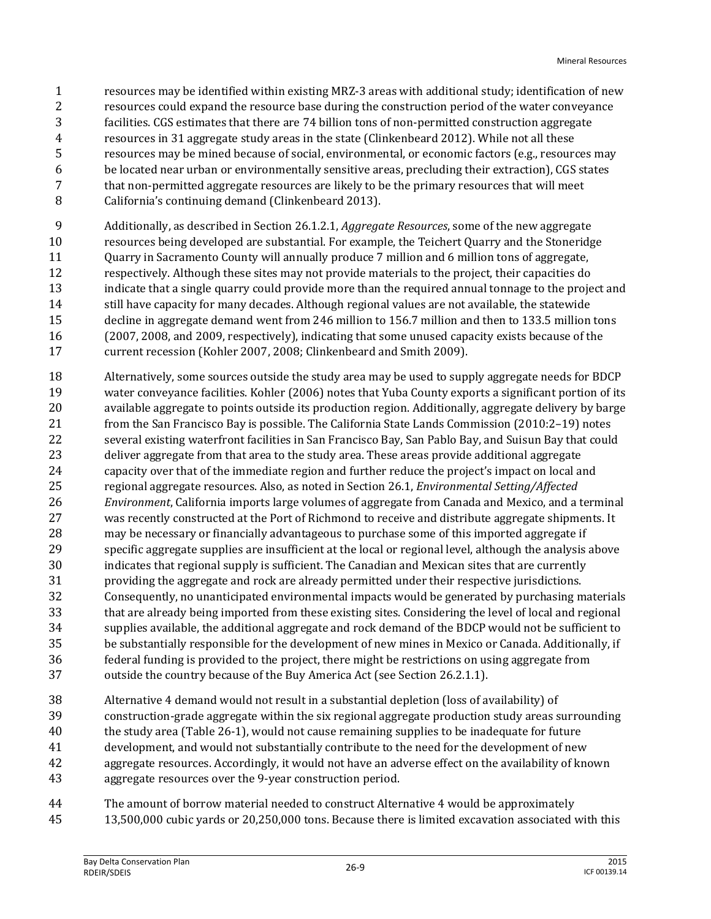- resources may be identified within existing MRZ-3 areas with additional study; identification of new resources could expand the resource base during the construction period of the water conveyance facilities. CGS estimates that there are 74 billion tons of non-permitted construction aggregate resources in 31 aggregate study areas in the state (Clinkenbeard 2012). While not all these resources may be mined because of social, environmental, or economic factors (e.g., resources may be located near urban or environmentally sensitive areas, precluding their extraction), CGS states that non-permitted aggregate resources are likely to be the primary resources that will meet California's continuing demand (Clinkenbeard 2013).
- Additionally, as described in Section 26.1.2.1, *Aggregate Resources*, some of the new aggregate
- resources being developed are substantial. For example, the Teichert Quarry and the Stoneridge
- Quarry in Sacramento County will annually produce 7 million and 6 million tons of aggregate,
- respectively. Although these sites may not provide materials to the project, their capacities do
- indicate that a single quarry could provide more than the required annual tonnage to the project and 14 still have capacity for many decades. Although regional values are not available, the statewide
- decline in aggregate demand went from 246 million to 156.7 million and then to 133.5 million tons (2007, 2008, and 2009, respectively), indicating that some unused capacity exists because of the
- current recession (Kohler 2007, 2008; Clinkenbeard and Smith 2009).
- Alternatively, some sources outside the study area may be used to supply aggregate needs for BDCP water conveyance facilities. Kohler (2006) notes that Yuba County exports a significant portion of its available aggregate to points outside its production region. Additionally, aggregate delivery by barge from the San Francisco Bay is possible. The California State Lands Commission (2010:2–19) notes several existing waterfront facilities in San Francisco Bay, San Pablo Bay, and Suisun Bay that could deliver aggregate from that area to the study area. These areas provide additional aggregate capacity over that of the immediate region and further reduce the project's impact on local and regional aggregate resources. Also, as noted in Section 26.1, *Environmental Setting/Affected Environment*, California imports large volumes of aggregate from Canada and Mexico, and a terminal was recently constructed at the Port of Richmond to receive and distribute aggregate shipments. It may be necessary or financially advantageous to purchase some of this imported aggregate if specific aggregate supplies are insufficient at the local or regional level, although the analysis above indicates that regional supply is sufficient. The Canadian and Mexican sites that are currently providing the aggregate and rock are already permitted under their respective jurisdictions. Consequently, no unanticipated environmental impacts would be generated by purchasing materials that are already being imported from these existing sites. Considering the level of local and regional supplies available, the additional aggregate and rock demand of the BDCP would not be sufficient to be substantially responsible for the development of new mines in Mexico or Canada. Additionally, if federal funding is provided to the project, there might be restrictions on using aggregate from outside the country because of the Buy America Act (see Section 26.2.1.1).
- Alternative 4 demand would not result in a substantial depletion (loss of availability) of construction-grade aggregate within the six regional aggregate production study areas surrounding the study area (Table 26-1), would not cause remaining supplies to be inadequate for future development, and would not substantially contribute to the need for the development of new aggregate resources. Accordingly, it would not have an adverse effect on the availability of known aggregate resources over the 9-year construction period.
- The amount of borrow material needed to construct Alternative 4 would be approximately
- 13,500,000 cubic yards or 20,250,000 tons. Because there is limited excavation associated with this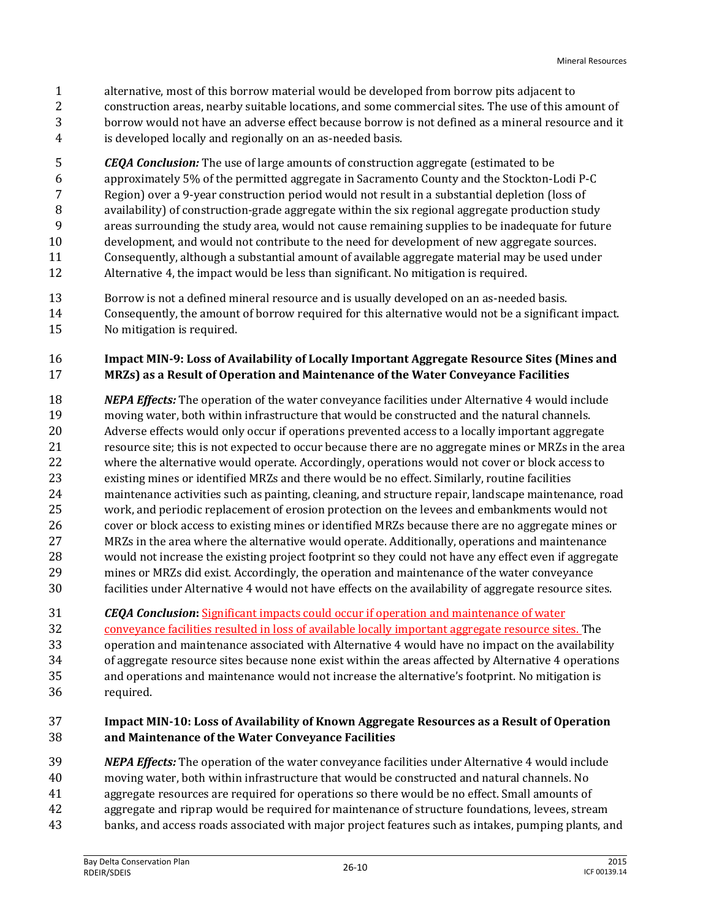- alternative, most of this borrow material would be developed from borrow pits adjacent to
- construction areas, nearby suitable locations, and some commercial sites. The use of this amount of borrow would not have an adverse effect because borrow is not defined as a mineral resource and it is developed locally and regionally on an as-needed basis.
- *CEQA Conclusion:* The use of large amounts of construction aggregate (estimated to be approximately 5% of the permitted aggregate in Sacramento County and the Stockton-Lodi P-C Region) over a 9-year construction period would not result in a substantial depletion (loss of availability) of construction-grade aggregate within the six regional aggregate production study areas surrounding the study area, would not cause remaining supplies to be inadequate for future development, and would not contribute to the need for development of new aggregate sources. Consequently, although a substantial amount of available aggregate material may be used under Alternative 4, the impact would be less than significant. No mitigation is required.
- Borrow is not a defined mineral resource and is usually developed on an as-needed basis. Consequently, the amount of borrow required for this alternative would not be a significant impact.
- No mitigation is required.

# **Impact MIN-9: Loss of Availability of Locally Important Aggregate Resource Sites (Mines and MRZs) as a Result of Operation and Maintenance of the Water Conveyance Facilities**

- *NEPA Effects:* The operation of the water conveyance facilities under Alternative 4 would include moving water, both within infrastructure that would be constructed and the natural channels. Adverse effects would only occur if operations prevented access to a locally important aggregate resource site; this is not expected to occur because there are no aggregate mines or MRZs in the area where the alternative would operate. Accordingly, operations would not cover or block access to existing mines or identified MRZs and there would be no effect. Similarly, routine facilities maintenance activities such as painting, cleaning, and structure repair, landscape maintenance, road work, and periodic replacement of erosion protection on the levees and embankments would not cover or block access to existing mines or identified MRZs because there are no aggregate mines or MRZs in the area where the alternative would operate. Additionally, operations and maintenance would not increase the existing project footprint so they could not have any effect even if aggregate mines or MRZs did exist. Accordingly, the operation and maintenance of the water conveyance facilities under Alternative 4 would not have effects on the availability of aggregate resource sites.
- *CEQA Conclusion***:** Significant impacts could occur if operation and maintenance of water
- conveyance facilities resulted in loss of available locally important aggregate resource sites. The
- operation and maintenance associated with Alternative 4 would have no impact on the availability of aggregate resource sites because none exist within the areas affected by Alternative 4 operations and operations and maintenance would not increase the alternative's footprint. No mitigation is required.

#### **Impact MIN-10: Loss of Availability of Known Aggregate Resources as a Result of Operation and Maintenance of the Water Conveyance Facilities**

- *NEPA Effects:* The operation of the water conveyance facilities under Alternative 4 would include
- moving water, both within infrastructure that would be constructed and natural channels. No
- aggregate resources are required for operations so there would be no effect. Small amounts of
- aggregate and riprap would be required for maintenance of structure foundations, levees, stream
- banks, and access roads associated with major project features such as intakes, pumping plants, and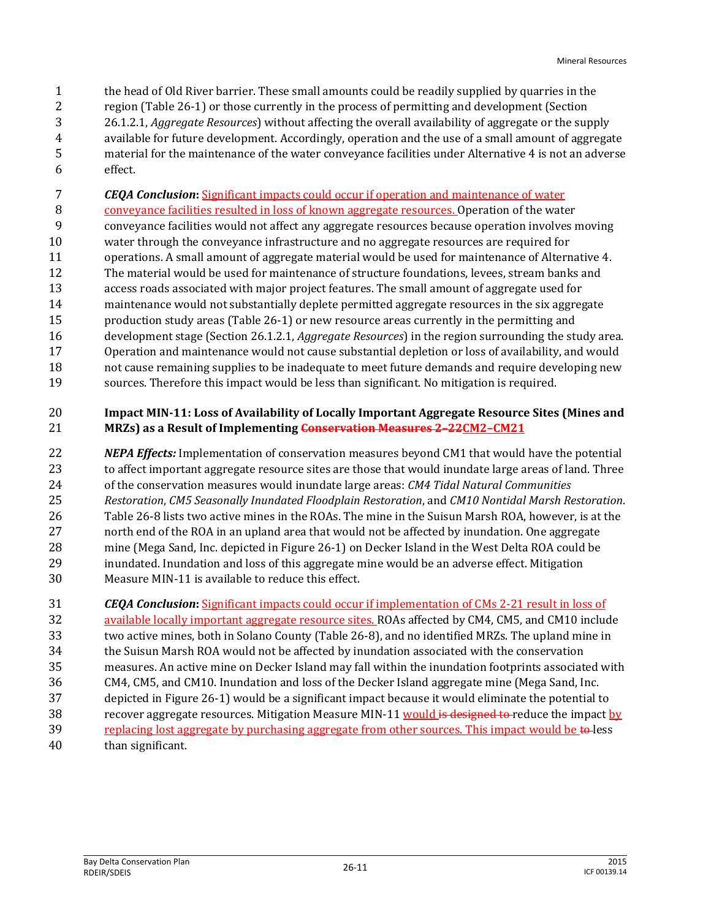the head of Old River barrier. These small amounts could be readily supplied by quarries in the region (Table 26-1) or those currently in the process of permitting and development (Section 26.1.2.1, *Aggregate Resources*) without affecting the overall availability of aggregate or the supply available for future development. Accordingly, operation and the use of a small amount of aggregate material for the maintenance of the water conveyance facilities under Alternative 4 is not an adverse effect.

*CEQA Conclusion***:** Significant impacts could occur if operation and maintenance of water

 conveyance facilities resulted in loss of known aggregate resources. Operation of the water conveyance facilities would not affect any aggregate resources because operation involves moving

- water through the conveyance infrastructure and no aggregate resources are required for
- operations. A small amount of aggregate material would be used for maintenance of Alternative 4.
- The material would be used for maintenance of structure foundations, levees, stream banks and
- access roads associated with major project features. The small amount of aggregate used for maintenance would not substantially deplete permitted aggregate resources in the six aggregate
- production study areas (Table 26-1) or new resource areas currently in the permitting and
- development stage (Section 26.1.2.1, *Aggregate Resources*) in the region surrounding the study area.
- Operation and maintenance would not cause substantial depletion or loss of availability, and would
- not cause remaining supplies to be inadequate to meet future demands and require developing new
- sources. Therefore this impact would be less than significant. No mitigation is required.

# **Impact MIN-11: Loss of Availability of Locally Important Aggregate Resource Sites (Mines and MRZs) as a Result of Implementing Conservation Measures 2–22CM2–CM21**

- *NEPA Effects:* Implementation of conservation measures beyond CM1 that would have the potential to affect important aggregate resource sites are those that would inundate large areas of land. Three of the conservation measures would inundate large areas: *CM4 Tidal Natural Communities Restoration*, *CM5 Seasonally Inundated Floodplain Restoration*, and *CM10 Nontidal Marsh Restoration*. Table 26-8 lists two active mines in the ROAs. The mine in the Suisun Marsh ROA, however, is at the north end of the ROA in an upland area that would not be affected by inundation. One aggregate mine (Mega Sand, Inc. depicted in Figure 26-1) on Decker Island in the West Delta ROA could be inundated. Inundation and loss of this aggregate mine would be an adverse effect. Mitigation Measure MIN-11 is available to reduce this effect.
- *CEQA Conclusion***:** Significant impacts could occur if implementation of CMs 2-21 result in loss of available locally important aggregate resource sites. ROAs affected by CM4, CM5, and CM10 include two active mines, both in Solano County (Table 26-8), and no identified MRZs. The upland mine in the Suisun Marsh ROA would not be affected by inundation associated with the conservation measures. An active mine on Decker Island may fall within the inundation footprints associated with CM4, CM5, and CM10. Inundation and loss of the Decker Island aggregate mine (Mega Sand, Inc. depicted in Figure 26-1) would be a significant impact because it would eliminate the potential to 38 recover aggregate resources. Mitigation Measure MIN-11 would is designed to reduce the impact by 39 replacing lost aggregate by purchasing aggregate from other sources. This impact would be to less than significant.